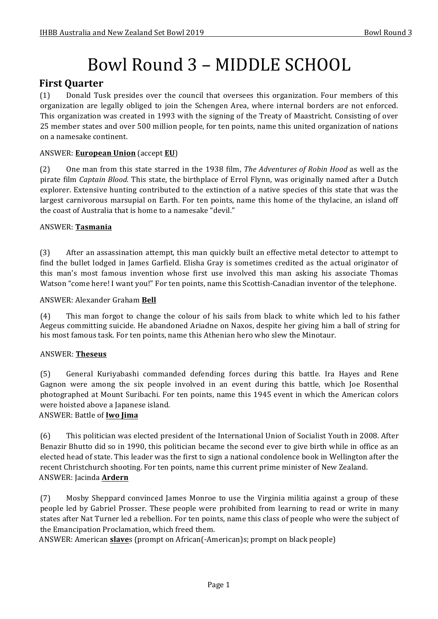# Bowl Round 3 – MIDDLE SCHOOL

# **First Quarter**

(1) Donald Tusk presides over the council that oversees this organization. Four members of this organization are legally obliged to join the Schengen Area, where internal borders are not enforced. This organization was created in 1993 with the signing of the Treaty of Maastricht. Consisting of over 25 member states and over 500 million people, for ten points, name this united organization of nations on a namesake continent.

# ANSWER: **European Union** (accept **EU**)

(2) One man from this state starred in the 1938 film, *The Adventures of Robin Hood* as well as the pirate film *Captain Blood*. This state, the birthplace of Errol Flynn, was originally named after a Dutch explorer. Extensive hunting contributed to the extinction of a native species of this state that was the largest carnivorous marsupial on Earth. For ten points, name this home of the thylacine, an island off the coast of Australia that is home to a namesake "devil."

## ANSWER: **Tasmania**

(3) After an assassination attempt, this man quickly built an effective metal detector to attempt to find the bullet lodged in James Garfield. Elisha Gray is sometimes credited as the actual originator of this man's most famous invention whose first use involved this man asking his associate Thomas Watson "come here! I want you!" For ten points, name this Scottish-Canadian inventor of the telephone.

#### ANSWER: Alexander Graham Bell

(4) This man forgot to change the colour of his sails from black to white which led to his father Aegeus committing suicide. He abandoned Ariadne on Naxos, despite her giving him a ball of string for his most famous task. For ten points, name this Athenian hero who slew the Minotaur.

#### ANSWER: **Theseus**

(5) General Kuriyabashi commanded defending forces during this battle. Ira Hayes and Rene Gagnon were among the six people involved in an event during this battle, which Joe Rosenthal photographed at Mount Suribachi. For ten points, name this 1945 event in which the American colors were hoisted above a Japanese island.

#### ANSWER: Battle of **Iwo Jima**

(6) This politician was elected president of the International Union of Socialist Youth in 2008. After Benazir Bhutto did so in 1990, this politician became the second ever to give birth while in office as an elected head of state. This leader was the first to sign a national condolence book in Wellington after the recent Christchurch shooting. For ten points, name this current prime minister of New Zealand. ANSWER: Jacinda **Ardern** 

(7) Mosby Sheppard convinced James Monroe to use the Virginia militia against a group of these people led by Gabriel Prosser. These people were prohibited from learning to read or write in many states after Nat Turner led a rebellion. For ten points, name this class of people who were the subject of the Emancipation Proclamation, which freed them.

ANSWER: American **slave**s (prompt on African(-American)s; prompt on black people)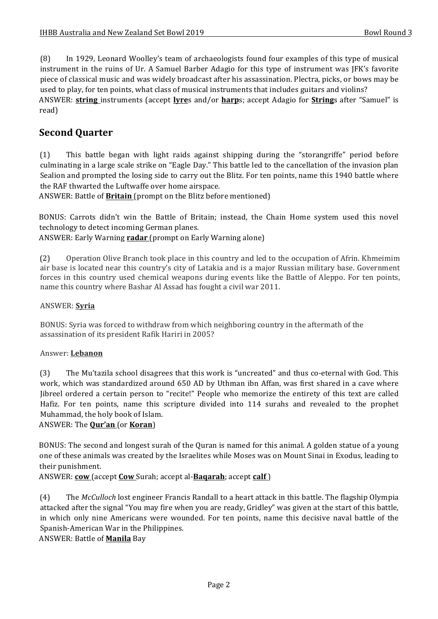(8) In 1929, Leonard Woolley's team of archaeologists found four examples of this type of musical instrument in the ruins of Ur. A Samuel Barber Adagio for this type of instrument was JFK's favorite piece of classical music and was widely broadcast after his assassination. Plectra, picks, or bows may be used to play, for ten points, what class of musical instruments that includes guitars and violins? ANSWER: **string** instruments (accept **lyre**s and/or **harp**s; accept Adagio for **String**s after "Samuel" is read)

# **Second Quarter**

(1) This battle began with light raids against shipping during the "storangriffe" period before culminating in a large scale strike on "Eagle Day." This battle led to the cancellation of the invasion plan Sealion and prompted the losing side to carry out the Blitz. For ten points, name this 1940 battle where the RAF thwarted the Luftwaffe over home airspace.

ANSWER: Battle of **Britain** (prompt on the Blitz before mentioned)

BONUS: Carrots didn't win the Battle of Britain; instead, the Chain Home system used this novel technology to detect incoming German planes.

ANSWER: Early Warning radar (prompt on Early Warning alone)

(2) Operation Olive Branch took place in this country and led to the occupation of Afrin. Khmeimim air base is located near this country's city of Latakia and is a major Russian military base. Government forces in this country used chemical weapons during events like the Battle of Aleppo. For ten points, name this country where Bashar Al Assad has fought a civil war 2011.

#### ANSWER: **Syria**

BONUS: Syria was forced to withdraw from which neighboring country in the aftermath of the assassination of its president Rafik Hariri in 2005?

#### Answer: **Lebanon**

(3) The Mu'tazila school disagrees that this work is "uncreated" and thus co-eternal with God. This work, which was standardized around 650 AD by Uthman ibn Affan, was first shared in a cave where Jibreel ordered a certain person to "recite!" People who memorize the entirety of this text are called Hafiz. For ten points, name this scripture divided into 114 surahs and revealed to the prophet Muhammad, the holy book of Islam.

#### ANSWER: The **Qur'an** (or **Koran**)

BONUS: The second and longest surah of the Quran is named for this animal. A golden statue of a young one of these animals was created by the Israelites while Moses was on Mount Sinai in Exodus, leading to their punishment.

ANSWER: **cow** (accept **Cow** Surah; accept al-**Bagarah**; accept **calf**)

(4) The *McCulloch* lost engineer Francis Randall to a heart attack in this battle. The flagship Olympia attacked after the signal "You may fire when you are ready, Gridley" was given at the start of this battle, in which only nine Americans were wounded. For ten points, name this decisive naval battle of the Spanish-American War in the Philippines.

# ANSWER: Battle of **Manila** Bay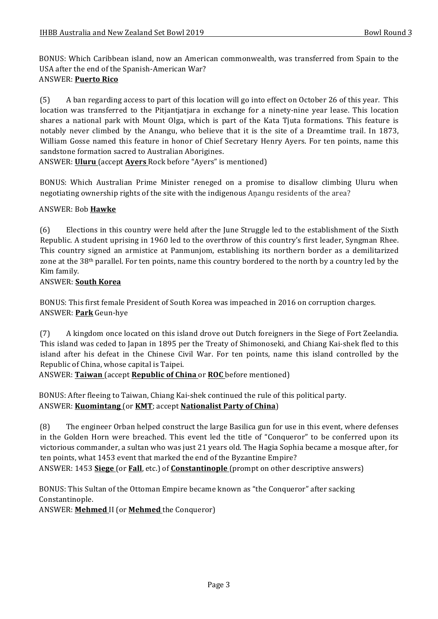BONUS: Which Caribbean island, now an American commonwealth, was transferred from Spain to the USA after the end of the Spanish-American War? ANSWER: **Puerto Rico**

(5) A ban regarding access to part of this location will go into effect on October 26 of this year. This location was transferred to the Pitiantiatiara in exchange for a ninety-nine year lease. This location shares a national park with Mount Olga, which is part of the Kata Tjuta formations. This feature is notably never climbed by the Anangu, who believe that it is the site of a Dreamtime trail. In 1873, William Gosse named this feature in honor of Chief Secretary Henry Ayers. For ten points, name this sandstone formation sacred to Australian Aborigines.

ANSWER: **Uluru** (accept **Ayers** Rock before "Ayers" is mentioned)

BONUS: Which Australian Prime Minister reneged on a promise to disallow climbing Uluru when negotiating ownership rights of the site with the indigenous Anangu residents of the area?

#### ANSWER: Bob **Hawke**

(6) Elections in this country were held after the June Struggle led to the establishment of the Sixth Republic. A student uprising in 1960 led to the overthrow of this country's first leader, Syngman Rhee. This country signed an armistice at Panmunjom, establishing its northern border as a demilitarized zone at the  $38th$  parallel. For ten points, name this country bordered to the north by a country led by the Kim family.

## ANSWER: **South Korea**

BONUS: This first female President of South Korea was impeached in 2016 on corruption charges. ANSWER: **Park** Geun-hye

(7) A kingdom once located on this island drove out Dutch foreigners in the Siege of Fort Zeelandia. This island was ceded to Japan in 1895 per the Treaty of Shimonoseki, and Chiang Kai-shek fled to this island after his defeat in the Chinese Civil War. For ten points, name this island controlled by the Republic of China, whose capital is Taipei.

ANSWER: Taiwan (accept Republic of China or ROC before mentioned)

BONUS: After fleeing to Taiwan, Chiang Kai-shek continued the rule of this political party. ANSWER: **Kuomintang** (or **KMT**; accept **Nationalist Party of China**)

(8) The engineer Orban helped construct the large Basilica gun for use in this event, where defenses in the Golden Horn were breached. This event led the title of "Conqueror" to be conferred upon its victorious commander, a sultan who was just 21 years old. The Hagia Sophia became a mosque after, for ten points, what 1453 event that marked the end of the Byzantine Empire?

ANSWER: 1453 **Siege** (or **Fall**, etc.) of **Constantinople** (prompt on other descriptive answers)

BONUS: This Sultan of the Ottoman Empire became known as "the Conqueror" after sacking Constantinople.

ANSWER: **Mehmed** II (or **Mehmed** the Conqueror)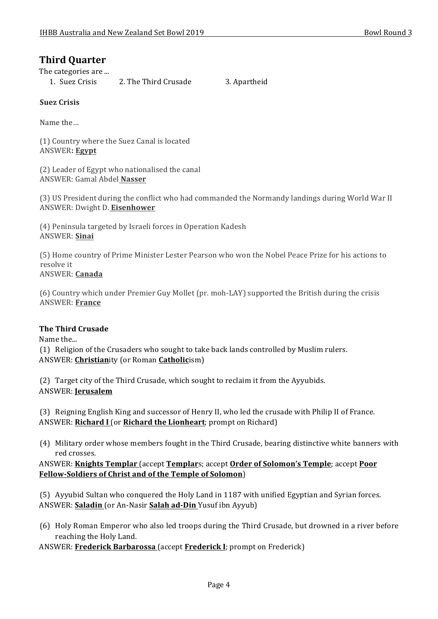# **Third Quarter**

The categories are ...

1. Suez Crisis 2. The Third Crusade 3. Apartheid

## **Suez Crisis**

Name the...

(1) Country where the Suez Canal is located ANSWER**: Egypt**

(2) Leader of Egypt who nationalised the canal ANSWER: Gamal Abdel **Nasser**

(3) US President during the conflict who had commanded the Normandy landings during World War II ANSWER: Dwight D. Eisenhower

(4) Peninsula targeted by Israeli forces in Operation Kadesh ANSWER: **Sinai**

(5) Home country of Prime Minister Lester Pearson who won the Nobel Peace Prize for his actions to resolve it ANSWER: **Canada**

(6) Country which under Premier Guy Mollet (pr. moh-LAY) supported the British during the crisis ANSWER: **France**

#### **The Third Crusade**

Name the...

(1) Religion of the Crusaders who sought to take back lands controlled by Muslim rulers. ANSWER: **Christianity** (or Roman **Catholic**ism)

(2) Target city of the Third Crusade, which sought to reclaim it from the Ayyubids. ANSWER: **Jerusalem**

(3) Reigning English King and successor of Henry II, who led the crusade with Philip II of France. ANSWER: Richard I (or Richard the Lionheart; prompt on Richard)

(4) Military order whose members fought in the Third Crusade, bearing distinctive white banners with red crosses.

ANSWER: **Knights Templar** (accept **Templar**s; accept **Order of Solomon's Temple**; accept **Poor Fellow-Soldiers of Christ and of the Temple of Solomon**)

(5) Ayyubid Sultan who conquered the Holy Land in 1187 with unified Egyptian and Syrian forces. ANSWER: **Saladin** (or An-Nasir **Salah ad-Din** Yusuf ibn Ayyub)

(6) Holy Roman Emperor who also led troops during the Third Crusade, but drowned in a river before reaching the Holy Land.

ANSWER: **Frederick Barbarossa** (accept **Frederick I**; prompt on Frederick)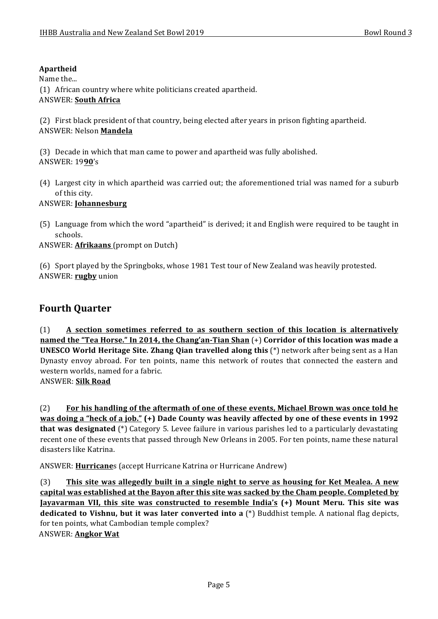# **Apartheid**

Name the...

(1) African country where white politicians created apartheid.

## ANSWER: **South Africa**

(2) First black president of that country, being elected after years in prison fighting apartheid. ANSWER: Nelson **Mandela**

(3) Decade in which that man came to power and apartheid was fully abolished. ANSWER: 19**90**'s

(4) Largest city in which apartheid was carried out; the aforementioned trial was named for a suburb of this city.

ANSWER: **Johannesburg**

(5) Language from which the word "apartheid" is derived; it and English were required to be taught in schools.

ANSWER: **Afrikaans** (prompt on Dutch)

(6) Sport played by the Springboks, whose 1981 Test tour of New Zealand was heavily protested. ANSWER: **rugby** union

# **Fourth Quarter**

(1) **A** section sometimes referred to as southern section of this location is alternatively **named the "Tea Horse."** In 2014, the Chang'an-Tian Shan  $(+)$  Corridor of this location was made a **UNESCO World Heritage Site. Zhang Qian travelled along this** (\*) network after being sent as a Han Dynasty envoy abroad. For ten points, name this network of routes that connected the eastern and western worlds, named for a fabric. ANSWER: **Silk Road**

(2) **For his handling of the aftermath of one of these events, Michael Brown was once told he was doing a "heck of a job."** (+) Dade County was heavily affected by one of these events in 1992 **that was designated** (\*) Category 5. Levee failure in various parishes led to a particularly devastating recent one of these events that passed through New Orleans in 2005. For ten points, name these natural disasters like Katrina.

ANSWER: **Hurricane**s (accept Hurricane Katrina or Hurricane Andrew)

(3) **This site was allegedly built in a single night to serve as housing for Ket Mealea. A new** capital was established at the Bayon after this site was sacked by the Cham people. Completed by **Jayavarman VII, this site was constructed to resemble India's (+) Mount Meru. This site was dedicated to Vishnu, but it was later converted into a** (\*) Buddhist temple. A national flag depicts, for ten points, what Cambodian temple complex? ANSWER: **Angkor Wat**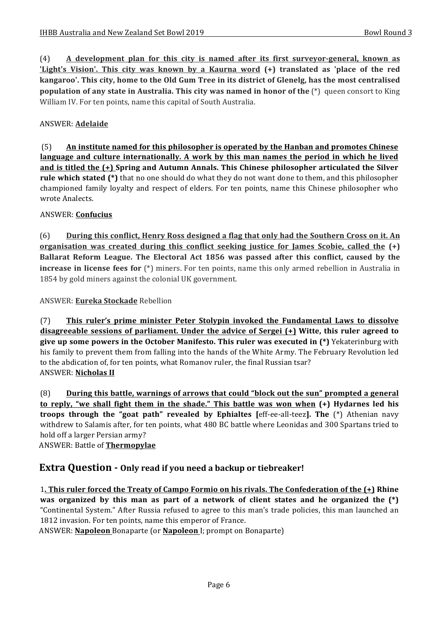(4) A development plan for this city is named after its first surveyor-general, known as **'Light's** Vision'. This city was known by a Kaurna word  $(+)$  translated as 'place of the red **kangaroo'.** This city, home to the Old Gum Tree in its district of Glenelg, has the most centralised **population of any state in Australia. This city was named in honor of the** (\*) queen consort to King William IV. For ten points, name this capital of South Australia.

# ANSWER: **Adelaide**

(5) An institute named for this philosopher is operated by the Hanban and promotes Chinese language and culture internationally. A work by this man names the period in which he lived and is titled the (+) Spring and Autumn Annals. This Chinese philosopher articulated the Silver rule which stated (\*) that no one should do what they do not want done to them, and this philosopher championed family loyalty and respect of elders. For ten points, name this Chinese philosopher who wrote Analects.

#### ANSWER: **Confucius**

(6) During this conflict, Henry Ross designed a flag that only had the Southern Cross on it. An **organisation** was created during this conflict seeking justice for James Scobie, called the  $(+)$ **Ballarat Reform League. The Electoral Act 1856 was passed after this conflict, caused by the increase in license fees for** (\*) miners. For ten points, name this only armed rebellion in Australia in 1854 by gold miners against the colonial UK government.

ANSWER: **Eureka Stockade** Rebellion

(7) **This ruler's prime minister Peter Stolypin invoked the Fundamental Laws to dissolve disagreeable sessions of parliament.** Under the advice of Sergei (+) Witte, this ruler agreed to **give up some powers in the October Manifesto. This ruler was executed in (\*)** Yekaterinburg with his family to prevent them from falling into the hands of the White Army. The February Revolution led to the abdication of, for ten points, what Romanov ruler, the final Russian tsar? **ANSWER: Nicholas II** 

(8) **During this battle, warnings of arrows that could "block out the sun" prompted a general to reply, "we shall fight them in the shade." This battle was won when (+) Hydarnes led his troops through the "goat path" revealed by Ephialtes [eff-ee-all-teez]. The**  $(*)$  **Athenian navy** withdrew to Salamis after, for ten points, what 480 BC battle where Leonidas and 300 Spartans tried to hold off a larger Persian army?

ANSWER: Battle of **Thermopylae** 

# **Extra Question -** Only read if you need a backup or tiebreaker!

**1. This ruler forced the Treaty of Campo Formio on his rivals. The Confederation of the**  $(+)$  **Rhine was** organized by this man as part of a network of client states and he organized the  $(*)$ "Continental System." After Russia refused to agree to this man's trade policies, this man launched an 1812 invasion. For ten points, name this emperor of France.

ANSWER: **Napoleon** Bonaparte (or **Napoleon** I; prompt on Bonaparte)